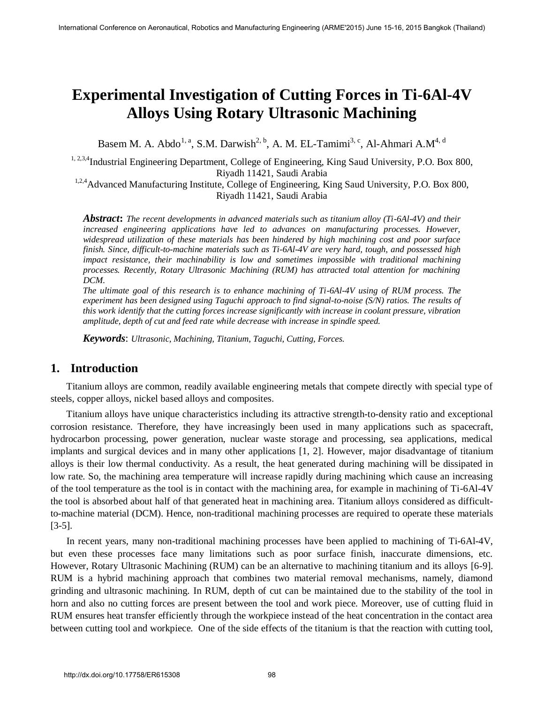# **Experimental Investigation of Cutting Forces in Ti-6Al-4V Alloys Using Rotary Ultrasonic Machining**

Basem M. A. Abdo<sup>1, a</sup>, S.M. Darwish<sup>2, b</sup>, A. M. EL-Tamimi<sup>3, c</sup>, Al-Ahmari A.M<sup>4, d</sup>

<sup>1, 2,3,4</sup>Industrial Engineering Department, College of Engineering, King Saud University, P.O. Box 800, Riyadh 11421, Saudi Arabia

<sup>1,2,4</sup>Advanced Manufacturing Institute, College of Engineering, King Saud University, P.O. Box 800, Riyadh 11421, Saudi Arabia

*Abstract***:** *The recent developments in advanced materials such as titanium alloy (Ti-6Al-4V) and their increased engineering applications have led to advances on manufacturing processes. However, widespread utilization of these materials has been hindered by high machining cost and poor surface finish. Since, difficult-to-machine materials such as Ti-6Al-4V are very hard, tough, and possessed high impact resistance, their machinability is low and sometimes impossible with traditional machining processes. Recently, Rotary Ultrasonic Machining (RUM) has attracted total attention for machining DCM.* 

*The ultimate goal of this research is to enhance machining of Ti-6Al-4V using of RUM process. The experiment has been designed using Taguchi approach to find signal-to-noise (S/N) ratios. The results of this work identify that the cutting forces increase significantly with increase in coolant pressure, vibration amplitude, depth of cut and feed rate while decrease with increase in spindle speed.* 

*Keywords*: *Ultrasonic, Machining, Titanium, Taguchi, Cutting, Forces.* 

## **1. Introduction**

Titanium alloys are common, readily available engineering metals that compete directly with special type of steels, copper alloys, nickel based alloys and composites.

Titanium alloys have unique characteristics including its attractive strength-to-density ratio and exceptional corrosion resistance. Therefore, they have increasingly been used in many applications such as spacecraft, hydrocarbon processing, power generation, nuclear waste storage and processing, sea applications, medical implants and surgical devices and in many other applications [1, 2]. However, major disadvantage of titanium alloys is their low thermal conductivity. As a result, the heat generated during machining will be dissipated in low rate. So, the machining area temperature will increase rapidly during machining which cause an increasing of the tool temperature as the tool is in contact with the machining area, for example in machining of Ti-6Al-4V the tool is absorbed about half of that generated heat in machining area. Titanium alloys considered as difficultto-machine material (DCM). Hence, non-traditional machining processes are required to operate these materials [3-5].

In recent years, many non-traditional machining processes have been applied to machining of Ti-6Al-4V, but even these processes face many limitations such as poor surface finish, inaccurate dimensions, etc. However, Rotary Ultrasonic Machining (RUM) can be an alternative to machining titanium and its alloys [6-9]. RUM is a hybrid machining approach that combines two material removal mechanisms, namely, diamond grinding and ultrasonic machining. In RUM, depth of cut can be maintained due to the stability of the tool in horn and also no cutting forces are present between the tool and work piece. Moreover, use of cutting fluid in RUM ensures heat transfer efficiently through the workpiece instead of the heat concentration in the contact area between cutting tool and workpiece. One of the side effects of the titanium is that the reaction with cutting tool,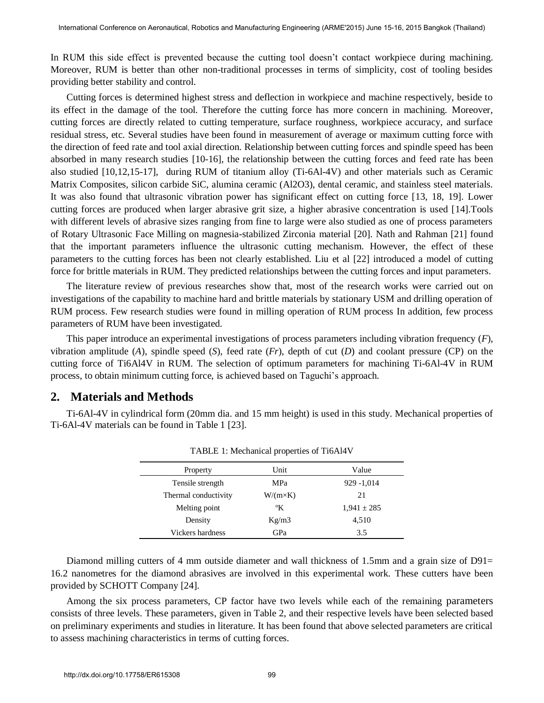In RUM this side effect is prevented because the cutting tool doesn't contact workpiece during machining. Moreover, RUM is better than other non-traditional processes in terms of simplicity, cost of tooling besides providing better stability and control.

Cutting forces is determined highest stress and deflection in workpiece and machine respectively, beside to its effect in the damage of the tool. Therefore the cutting force has more concern in machining. Moreover, cutting forces are directly related to cutting temperature, surface roughness, workpiece accuracy, and surface residual stress, etc. Several studies have been found in measurement of average or maximum cutting force with the direction of feed rate and tool axial direction. Relationship between cutting forces and spindle speed has been absorbed in many research studies [10-16], the relationship between the cutting forces and feed rate has been also studied [10,12,15-17], during RUM of titanium alloy (Ti-6Al-4V) and other materials such as Ceramic Matrix Composites, silicon carbide SiC, alumina ceramic (Al2O3), dental ceramic, and stainless steel materials. It was also found that ultrasonic vibration power has significant effect on cutting force [13, 18, 19]. Lower cutting forces are produced when larger abrasive grit size, a higher abrasive concentration is used [14].Tools with different levels of abrasive sizes ranging from fine to large were also studied as one of process parameters of Rotary Ultrasonic Face Milling on magnesia-stabilized Zirconia material [20]. Nath and Rahman [21] found that the important parameters influence the ultrasonic cutting mechanism. However, the effect of these parameters to the cutting forces has been not clearly established. Liu et al [22] introduced a model of cutting force for brittle materials in RUM. They predicted relationships between the cutting forces and input parameters.

The literature review of previous researches show that, most of the research works were carried out on investigations of the capability to machine hard and brittle materials by stationary USM and drilling operation of RUM process. Few research studies were found in milling operation of RUM process In addition, few process parameters of RUM have been investigated.

This paper introduce an experimental investigations of process parameters including vibration frequency (*F*), vibration amplitude ( $A$ ), spindle speed ( $S$ ), feed rate ( $Fr$ ), depth of cut ( $D$ ) and coolant pressure ( $CP$ ) on the cutting force of Ti6Al4V in RUM. The selection of optimum parameters for machining Ti-6Al-4V in RUM process, to obtain minimum cutting force, is achieved based on Taguchi's approach.

### **2. Materials and Methods**

Ti-6Al-4V in cylindrical form (20mm dia. and 15 mm height) is used in this study. Mechanical properties of Ti-6Al-4V materials can be found in Table 1 [23].

| Property             | Unit            | Value           |
|----------------------|-----------------|-----------------|
| Tensile strength     | <b>MPa</b>      | 929 -1,014      |
| Thermal conductivity | $W/(m\times K)$ | 21              |
| Melting point        | °K              | $1,941 \pm 285$ |
| Density              | Kg/m3           | 4,510           |
| Vickers hardness     | GPa             | 3.5             |

TABLE 1: Mechanical properties of Ti6Al4V

Diamond milling cutters of 4 mm outside diameter and wall thickness of 1.5mm and a grain size of D91= 16.2 nanometres for the diamond abrasives are involved in this experimental work. These cutters have been provided by SCHOTT Company [24].

Among the six process parameters, CP factor have two levels while each of the remaining parameters consists of three levels. These parameters, given in Table 2, and their respective levels have been selected based on preliminary experiments and studies in literature. It has been found that above selected parameters are critical to assess machining characteristics in terms of cutting forces.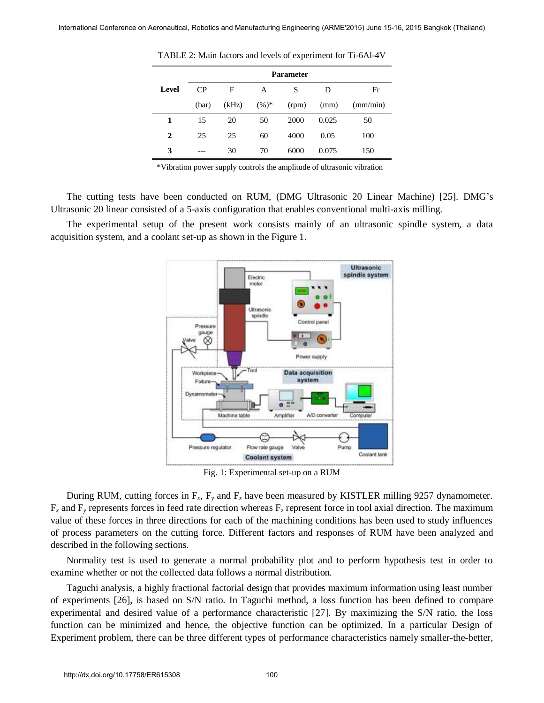|       | <b>Parameter</b> |       |          |       |       |          |  |
|-------|------------------|-------|----------|-------|-------|----------|--|
| Level | CP               | F     | A        | S     | D     | Fr       |  |
|       | (bar)            | (kHz) | $(\%)^*$ | (rpm) | (mm)  | (mm/min) |  |
| 1     | 15               | 20    | 50       | 2000  | 0.025 | 50       |  |
| 2     | 25               | 25    | 60       | 4000  | 0.05  | 100      |  |
| 3     |                  | 30    | 70       | 6000  | 0.075 | 150      |  |

TABLE 2: Main factors and levels of experiment for Ti-6Al-4V

\*Vibration power supply controls the amplitude of ultrasonic vibration

The cutting tests have been conducted on RUM, (DMG Ultrasonic 20 Linear Machine) [25]. DMG's Ultrasonic 20 linear consisted of a 5-axis configuration that enables conventional multi-axis milling.

The experimental setup of the present work consists mainly of an ultrasonic spindle system, a data acquisition system, and a coolant set-up as shown in the Figure 1.



Fig. 1: Experimental set-up on a RUM

During RUM, cutting forces in  $F_x$ ,  $F_y$  and  $F_z$  have been measured by KISTLER milling 9257 dynamometer.  $F_x$  and  $F_y$  represents forces in feed rate direction whereas  $F_z$  represent force in tool axial direction. The maximum value of these forces in three directions for each of the machining conditions has been used to study influences of process parameters on the cutting force. Different factors and responses of RUM have been analyzed and described in the following sections.

Normality test is used to generate a normal probability plot and to perform hypothesis test in order to examine whether or not the collected data follows a normal distribution.

Taguchi analysis, a highly fractional factorial design that provides maximum information using least number of experiments [26], is based on S/N ratio. In Taguchi method, a loss function has been defined to compare experimental and desired value of a performance characteristic [27]. By maximizing the S/N ratio, the loss function can be minimized and hence, the objective function can be optimized. In a particular Design of Experiment problem, there can be three different types of performance characteristics namely smaller-the-better,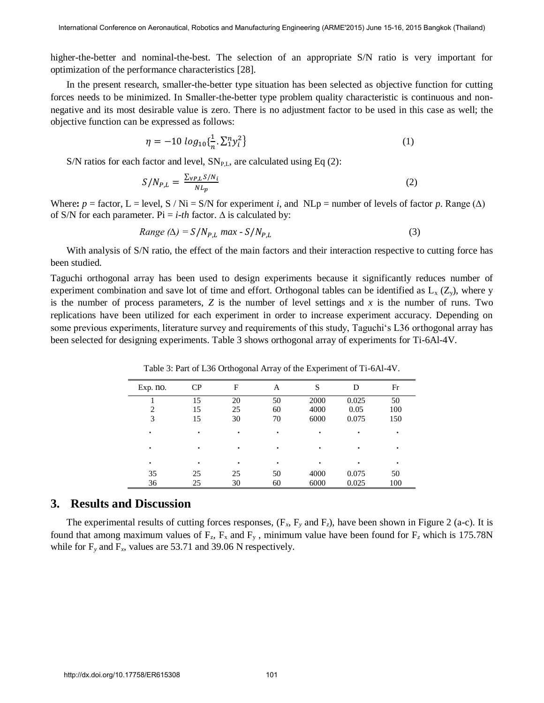higher-the-better and nominal-the-best. The selection of an appropriate S/N ratio is very important for optimization of the performance characteristics [28].

In the present research, smaller-the-better type situation has been selected as objective function for cutting forces needs to be minimized. In Smaller-the-better type problem quality characteristic is continuous and nonnegative and its most desirable value is zero. There is no adjustment factor to be used in this case as well; the objective function can be expressed as follows:

$$
\eta = -10 \log_{10} {\{\frac{1}{n} \cdot \sum_{i=1}^{n} y_i^2\}} \tag{1}
$$

S/N ratios for each factor and level,  $SN_{PL}$ , are calculated using Eq (2):

$$
S/N_{P,L} = \frac{\sum_{\forall P,L} S/N_i}{NL_p} \tag{2}
$$

Where:  $p =$  factor, L = level, S / Ni = S/N for experiment *i*, and NLp = number of levels of factor *p*. Range ( $\Delta$ ) of S/N for each parameter. Pi = *i-th* factor.  $\Delta$  is calculated by:

Range (
$$
\Delta
$$
) =  $S/N_{P,L}$  max -  $S/N_{P,L}$  (3)

With analysis of S/N ratio, the effect of the main factors and their interaction respective to cutting force has been studied.

Taguchi orthogonal array has been used to design experiments because it significantly reduces number of experiment combination and save lot of time and effort. Orthogonal tables can be identified as  $L_x$  ( $Z_y$ ), where y is the number of process parameters, *Z* is the number of level settings and *x* is the number of runs. Two replications have been utilized for each experiment in order to increase experiment accuracy. Depending on some previous experiments, literature survey and requirements of this study, Taguchi's L36 orthogonal array has been selected for designing experiments. Table 3 shows orthogonal array of experiments for Ti-6Al-4V.

| Exp. no. | CP | F  | Α  | S    | D     | Fr  |
|----------|----|----|----|------|-------|-----|
|          | 15 | 20 | 50 | 2000 | 0.025 | 50  |
| ↑        | 15 | 25 | 60 | 4000 | 0.05  | 100 |
| 3        | 15 | 30 | 70 | 6000 | 0.075 | 150 |
|          | ٠  |    |    |      |       |     |
|          | ٠  |    |    |      |       |     |
|          | ٠  |    |    |      |       |     |
| 35       | 25 | 25 | 50 | 4000 | 0.075 | 50  |
| 36       | 25 | 30 | 60 | 6000 | 0.025 | 100 |

Table 3: Part of L36 Orthogonal Array of the Experiment of Ti-6Al-4V.

#### **3. Results and Discussion**

The experimental results of cutting forces responses,  $(F_x, F_y, F_z)$ , have been shown in Figure 2 (a-c). It is found that among maximum values of  $F_z$ ,  $F_x$  and  $F_y$ , minimum value have been found for  $F_z$  which is 175.78N while for  $F_v$  and  $F_x$ , values are 53.71 and 39.06 N respectively.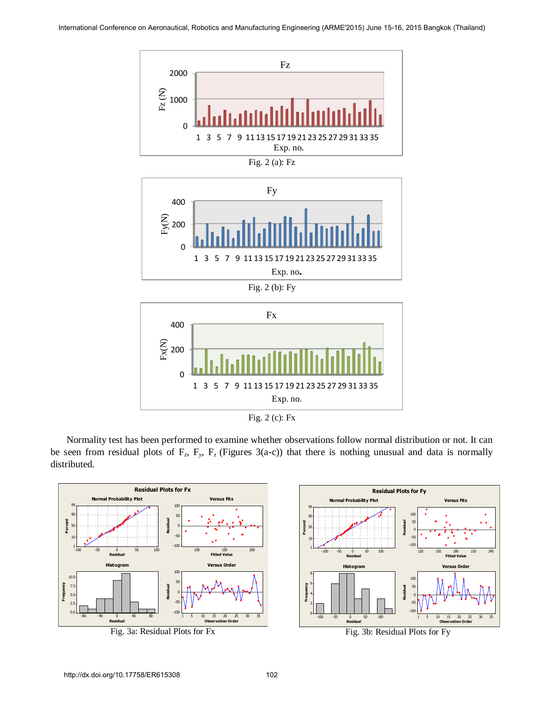

Fig. 2 (a): Fz







Fig. 2 (c): Fx

Normality test has been performed to examine whether observations follow normal distribution or not. It can be seen from residual plots of  $F_z$ ,  $F_y$ ,  $F_z$  (Figures 3(a-c)) that there is nothing unusual and data is normally distributed.





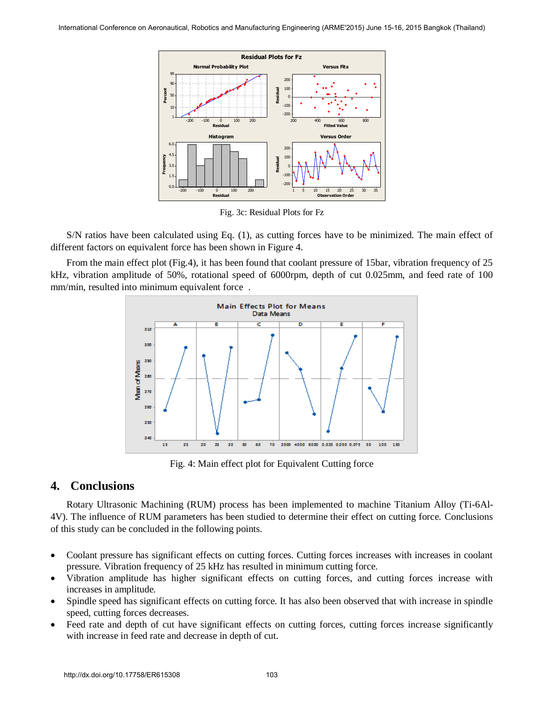

Fig. 3c: Residual Plots for Fz

S/N ratios have been calculated using Eq. (1), as cutting forces have to be minimized. The main effect of different factors on equivalent force has been shown in Figure 4.

From the main effect plot (Fig.4), it has been found that coolant pressure of 15bar, vibration frequency of 25 kHz, vibration amplitude of 50%, rotational speed of 6000rpm, depth of cut 0.025mm, and feed rate of 100 mm/min, resulted into minimum equivalent force .



Fig. 4: Main effect plot for Equivalent Cutting force

## **4. Conclusions**

Rotary Ultrasonic Machining (RUM) process has been implemented to machine Titanium Alloy (Ti-6Al-4V). The influence of RUM parameters has been studied to determine their effect on cutting force. Conclusions of this study can be concluded in the following points.

- Coolant pressure has significant effects on cutting forces. Cutting forces increases with increases in coolant pressure. Vibration frequency of 25 kHz has resulted in minimum cutting force.
- Vibration amplitude has higher significant effects on cutting forces, and cutting forces increase with increases in amplitude.
- Spindle speed has significant effects on cutting force. It has also been observed that with increase in spindle speed, cutting forces decreases.
- Feed rate and depth of cut have significant effects on cutting forces, cutting forces increase significantly with increase in feed rate and decrease in depth of cut.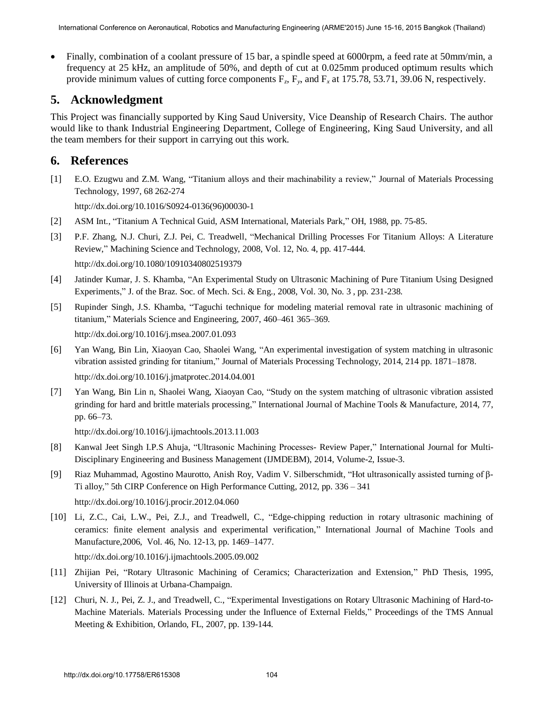Finally, combination of a coolant pressure of 15 bar, a spindle speed at 6000rpm, a feed rate at 50mm/min, a frequency at 25 kHz, an amplitude of 50%, and depth of cut at 0.025mm produced optimum results which provide minimum values of cutting force components  $F_z$ ,  $F_y$ , and  $F_x$  at 175.78, 53.71, 39.06 N, respectively.

## **5. Acknowledgment**

This Project was financially supported by King Saud University, Vice Deanship of Research Chairs. The author would like to thank Industrial Engineering Department, College of Engineering, King Saud University, and all the team members for their support in carrying out this work.

## **6. References**

[1] [E.O. Ezugwu and Z.M. Wang, "Titanium alloys and their machinability a review," Journal of Materials Processing](http://dx.doi.org/10.1016/S0924-0136(96)00030-1)  [Technology, 1997, 68 262-274](http://dx.doi.org/10.1016/S0924-0136(96)00030-1) 

[http://dx.doi.org/10.1016/S0924-0136\(96\)00030-1](http://dx.doi.org/10.1016/S0924-0136(96)00030-1) 

- [2] ASM Int., "Titanium A Technical Guid, ASM International, Materials Park," OH, 1988, pp. 75-85.
- [3] [P.F. Zhang, N.J. Churi, Z.J. Pei, C. Treadwell, "Mechanical Drilling Processes For Titanium Alloys: A Literature](http://dx.doi.org/10.1080/10910340802519379)  [Review," Machining Science and Technology, 2008, Vol. 12, No. 4, pp. 417-444.](http://dx.doi.org/10.1080/10910340802519379)  <http://dx.doi.org/10.1080/10910340802519379>
- [4] Jatinder Kumar, J. S. Khamba, "An Experimental Study on Ultrasonic Machining of Pure Titanium Using Designed Experiments," J. of the Braz. Soc. of Mech. Sci. & Eng., 2008, Vol. 30, No. 3 , pp. 231-238.
- [5] [Rupinder Singh, J.S. Khamba, "Taguchi technique for modeling material removal rate in ultrasonic machining of](http://dx.doi.org/10.1016/j.msea.2007.01.093)  titanium," [Materials Science and Engineering, 2007, 460–461 365–369.](http://dx.doi.org/10.1016/j.msea.2007.01.093)  <http://dx.doi.org/10.1016/j.msea.2007.01.093>
- [6] [Yan Wang, Bin Lin, Xiaoyan Cao, Shaolei Wang, "An experimental investigation of system matching in ultrasonic](http://dx.doi.org/10.1016/j.jmatprotec.2014.04.001)  [vibration assisted grinding for titanium," Journal of Materials Processing Technology, 2014, 214 pp. 1871–1878.](http://dx.doi.org/10.1016/j.jmatprotec.2014.04.001)  <http://dx.doi.org/10.1016/j.jmatprotec.2014.04.001>
- [7] [Yan Wang, Bin Lin n, Shaolei Wang, Xiaoyan Cao, "Study on the system matching of ultrasonic vibration assisted](http://dx.doi.org/10.1016/j.ijmachtools.2013.11.003)  [grinding for hard and brittle materials processing," International Journal of Machine Tools & Manufacture, 2014, 77,](http://dx.doi.org/10.1016/j.ijmachtools.2013.11.003)  [pp. 66–73.](http://dx.doi.org/10.1016/j.ijmachtools.2013.11.003)

<http://dx.doi.org/10.1016/j.ijmachtools.2013.11.003>

- [8] Kanwal Jeet Singh I.P.S Ahuja, "Ultrasonic Machining Processes- Review Paper," International Journal for Multi-Disciplinary Engineering and Business Management (IJMDEBM), 2014, Volume-2, Issue-3.
- [9] [Riaz Muhammad, Agostino Maurotto, Anish Roy, Vadim V. Silberschmidt, "Hot ultrasonically assisted turning of β-](http://dx.doi.org/10.1016/j.procir.2012.04.060)[Ti alloy," 5th CIRP Conference on High Performance Cutting, 2012, pp. 336 – 341](http://dx.doi.org/10.1016/j.procir.2012.04.060)  <http://dx.doi.org/10.1016/j.procir.2012.04.060>
- [10] [Li, Z.C., Cai, L.W., Pei, Z.J., and Treadwell, C., "Edge-chipping reduction in rotary ultrasonic machining of](http://dx.doi.org/10.1016/j.ijmachtools.2005.09.002)  [ceramics: finite element analysis and experimental verification," International Journal of Machine Tools and](http://dx.doi.org/10.1016/j.ijmachtools.2005.09.002)  [Manufacture,2006, Vol. 46, No. 12-13, pp. 1469–1477.](http://dx.doi.org/10.1016/j.ijmachtools.2005.09.002)

<http://dx.doi.org/10.1016/j.ijmachtools.2005.09.002>

- [11] Zhijian Pei, "Rotary Ultrasonic Machining of Ceramics; Characterization and Extension," PhD Thesis, 1995, University of Illinois at Urbana-Champaign.
- [12] Churi, N. J., Pei, Z. J., and Treadwell, C., "Experimental Investigations on Rotary Ultrasonic Machining of Hard-to-Machine Materials. Materials Processing under the Influence of External Fields," Proceedings of the TMS Annual Meeting & Exhibition, Orlando, FL, 2007, pp. 139-144.